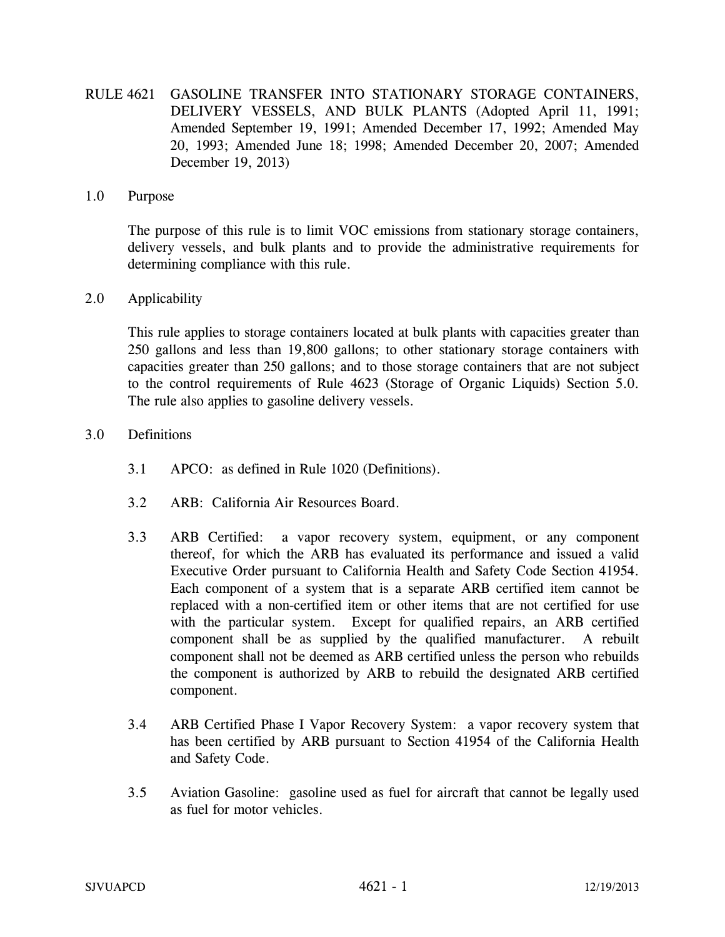RULE 4621 GASOLINE TRANSFER INTO STATIONARY STORAGE CONTAINERS, DELIVERY VESSELS, AND BULK PLANTS (Adopted April 11, 1991; Amended September 19, 1991; Amended December 17, 1992; Amended May 20, 1993; Amended June 18; 1998; Amended December 20, 2007; Amended December 19, 2013)

### 1.0 Purpose

The purpose of this rule is to limit VOC emissions from stationary storage containers, delivery vessels, and bulk plants and to provide the administrative requirements for determining compliance with this rule.

#### 2.0 Applicability

This rule applies to storage containers located at bulk plants with capacities greater than 250 gallons and less than 19,800 gallons; to other stationary storage containers with capacities greater than 250 gallons; and to those storage containers that are not subject to the control requirements of Rule 4623 (Storage of Organic Liquids) Section 5.0. The rule also applies to gasoline delivery vessels.

- 3.0 Definitions
	- 3.1 APCO: as defined in Rule 1020 (Definitions).
	- 3.2 ARB: California Air Resources Board.
	- 3.3 ARB Certified: a vapor recovery system, equipment, or any component thereof, for which the ARB has evaluated its performance and issued a valid Executive Order pursuant to California Health and Safety Code Section 41954. Each component of a system that is a separate ARB certified item cannot be replaced with a non-certified item or other items that are not certified for use with the particular system. Except for qualified repairs, an ARB certified component shall be as supplied by the qualified manufacturer. A rebuilt component shall not be deemed as ARB certified unless the person who rebuilds the component is authorized by ARB to rebuild the designated ARB certified component.
	- 3.4 ARB Certified Phase I Vapor Recovery System: a vapor recovery system that has been certified by ARB pursuant to Section 41954 of the California Health and Safety Code.
	- 3.5 Aviation Gasoline: gasoline used as fuel for aircraft that cannot be legally used as fuel for motor vehicles.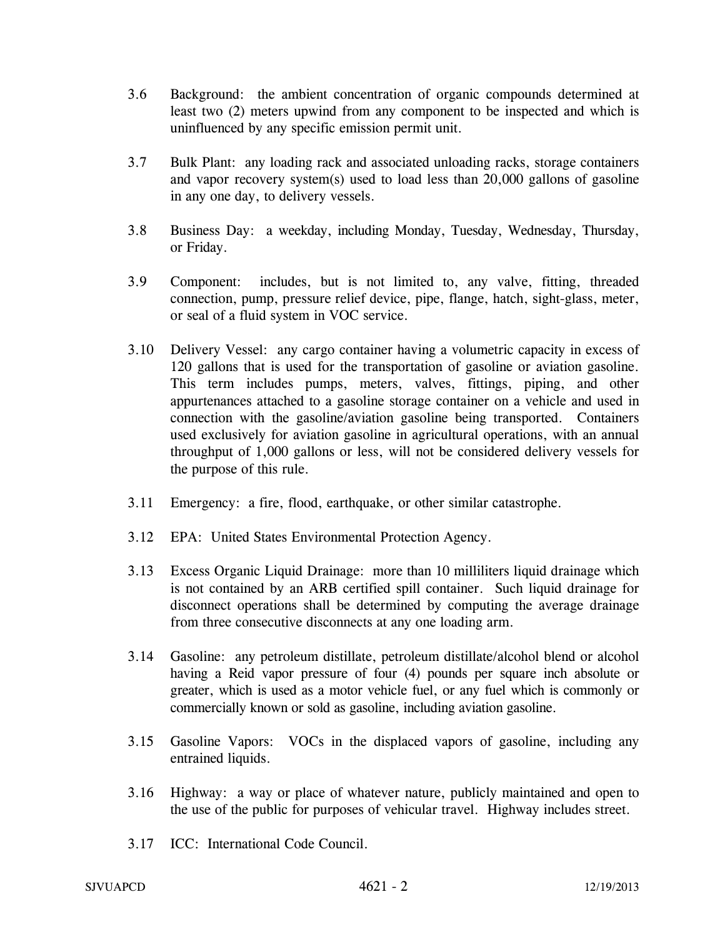- 3.6 Background: the ambient concentration of organic compounds determined at least two (2) meters upwind from any component to be inspected and which is uninfluenced by any specific emission permit unit.
- 3.7 Bulk Plant: any loading rack and associated unloading racks, storage containers and vapor recovery system(s) used to load less than 20,000 gallons of gasoline in any one day, to delivery vessels.
- 3.8 Business Day: a weekday, including Monday, Tuesday, Wednesday, Thursday, or Friday.
- 3.9 Component: includes, but is not limited to, any valve, fitting, threaded connection, pump, pressure relief device, pipe, flange, hatch, sight-glass, meter, or seal of a fluid system in VOC service.
- 3.10 Delivery Vessel: any cargo container having a volumetric capacity in excess of 120 gallons that is used for the transportation of gasoline or aviation gasoline. This term includes pumps, meters, valves, fittings, piping, and other appurtenances attached to a gasoline storage container on a vehicle and used in connection with the gasoline/aviation gasoline being transported. Containers used exclusively for aviation gasoline in agricultural operations, with an annual throughput of 1,000 gallons or less, will not be considered delivery vessels for the purpose of this rule.
- 3.11 Emergency: a fire, flood, earthquake, or other similar catastrophe.
- 3.12 EPA: United States Environmental Protection Agency.
- 3.13 Excess Organic Liquid Drainage: more than 10 milliliters liquid drainage which is not contained by an ARB certified spill container. Such liquid drainage for disconnect operations shall be determined by computing the average drainage from three consecutive disconnects at any one loading arm.
- 3.14 Gasoline: any petroleum distillate, petroleum distillate/alcohol blend or alcohol having a Reid vapor pressure of four (4) pounds per square inch absolute or greater, which is used as a motor vehicle fuel, or any fuel which is commonly or commercially known or sold as gasoline, including aviation gasoline.
- 3.15 Gasoline Vapors: VOCs in the displaced vapors of gasoline, including any entrained liquids.
- 3.16 Highway: a way or place of whatever nature, publicly maintained and open to the use of the public for purposes of vehicular travel. Highway includes street.
- 3.17 ICC: International Code Council.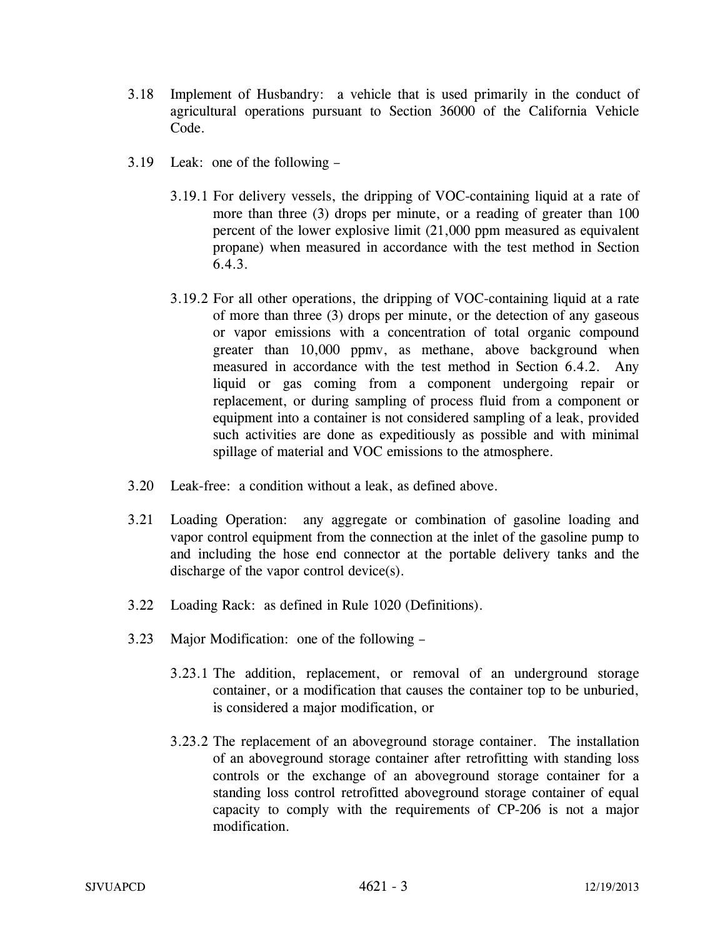- 3.18 Implement of Husbandry: a vehicle that is used primarily in the conduct of agricultural operations pursuant to Section 36000 of the California Vehicle Code.
- 3.19 Leak: one of the following
	- 3.19.1 For delivery vessels, the dripping of VOC-containing liquid at a rate of more than three (3) drops per minute, or a reading of greater than 100 percent of the lower explosive limit (21,000 ppm measured as equivalent propane) when measured in accordance with the test method in Section 6.4.3.
	- 3.19.2 For all other operations, the dripping of VOC-containing liquid at a rate of more than three (3) drops per minute, or the detection of any gaseous or vapor emissions with a concentration of total organic compound greater than 10,000 ppmv, as methane, above background when measured in accordance with the test method in Section 6.4.2. Any liquid or gas coming from a component undergoing repair or replacement, or during sampling of process fluid from a component or equipment into a container is not considered sampling of a leak, provided such activities are done as expeditiously as possible and with minimal spillage of material and VOC emissions to the atmosphere.
- 3.20 Leak-free: a condition without a leak, as defined above.
- 3.21 Loading Operation: any aggregate or combination of gasoline loading and vapor control equipment from the connection at the inlet of the gasoline pump to and including the hose end connector at the portable delivery tanks and the discharge of the vapor control device(s).
- 3.22 Loading Rack: as defined in Rule 1020 (Definitions).
- 3.23 Major Modification: one of the following
	- 3.23.1 The addition, replacement, or removal of an underground storage container, or a modification that causes the container top to be unburied, is considered a major modification, or
	- 3.23.2 The replacement of an aboveground storage container. The installation of an aboveground storage container after retrofitting with standing loss controls or the exchange of an aboveground storage container for a standing loss control retrofitted aboveground storage container of equal capacity to comply with the requirements of CP-206 is not a major modification.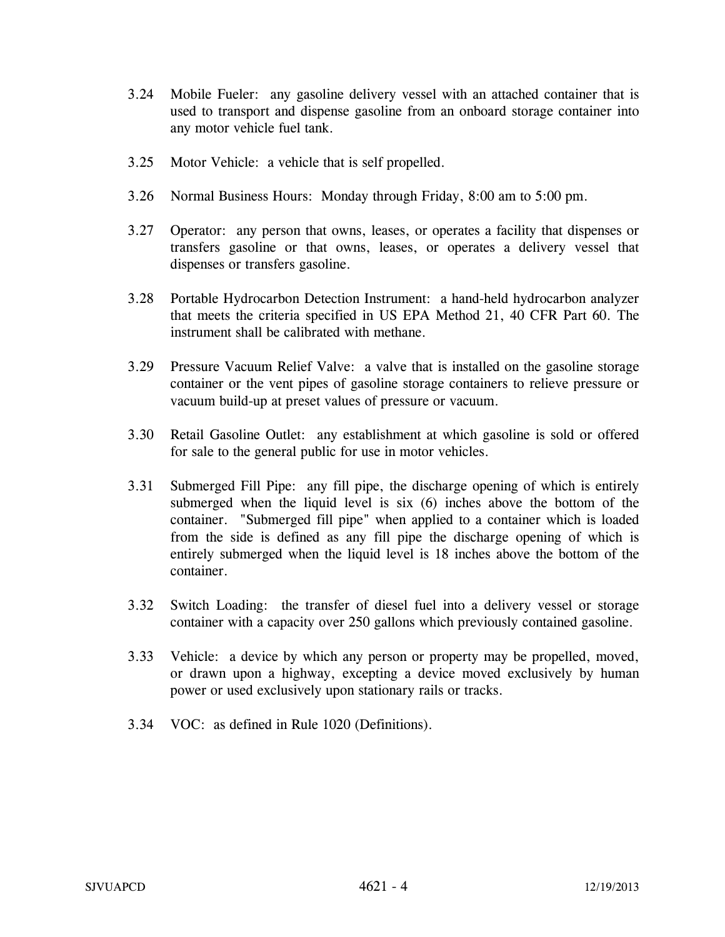- 3.24 Mobile Fueler: any gasoline delivery vessel with an attached container that is used to transport and dispense gasoline from an onboard storage container into any motor vehicle fuel tank.
- 3.25 Motor Vehicle: a vehicle that is self propelled.
- 3.26 Normal Business Hours: Monday through Friday, 8:00 am to 5:00 pm.
- 3.27 Operator: any person that owns, leases, or operates a facility that dispenses or transfers gasoline or that owns, leases, or operates a delivery vessel that dispenses or transfers gasoline.
- 3.28 Portable Hydrocarbon Detection Instrument: a hand-held hydrocarbon analyzer that meets the criteria specified in US EPA Method 21, 40 CFR Part 60. The instrument shall be calibrated with methane.
- 3.29 Pressure Vacuum Relief Valve: a valve that is installed on the gasoline storage container or the vent pipes of gasoline storage containers to relieve pressure or vacuum build-up at preset values of pressure or vacuum.
- 3.30 Retail Gasoline Outlet: any establishment at which gasoline is sold or offered for sale to the general public for use in motor vehicles.
- 3.31 Submerged Fill Pipe: any fill pipe, the discharge opening of which is entirely submerged when the liquid level is six (6) inches above the bottom of the container. "Submerged fill pipe" when applied to a container which is loaded from the side is defined as any fill pipe the discharge opening of which is entirely submerged when the liquid level is 18 inches above the bottom of the container.
- 3.32 Switch Loading: the transfer of diesel fuel into a delivery vessel or storage container with a capacity over 250 gallons which previously contained gasoline.
- 3.33 Vehicle: a device by which any person or property may be propelled, moved, or drawn upon a highway, excepting a device moved exclusively by human power or used exclusively upon stationary rails or tracks.
- 3.34 VOC: as defined in Rule 1020 (Definitions).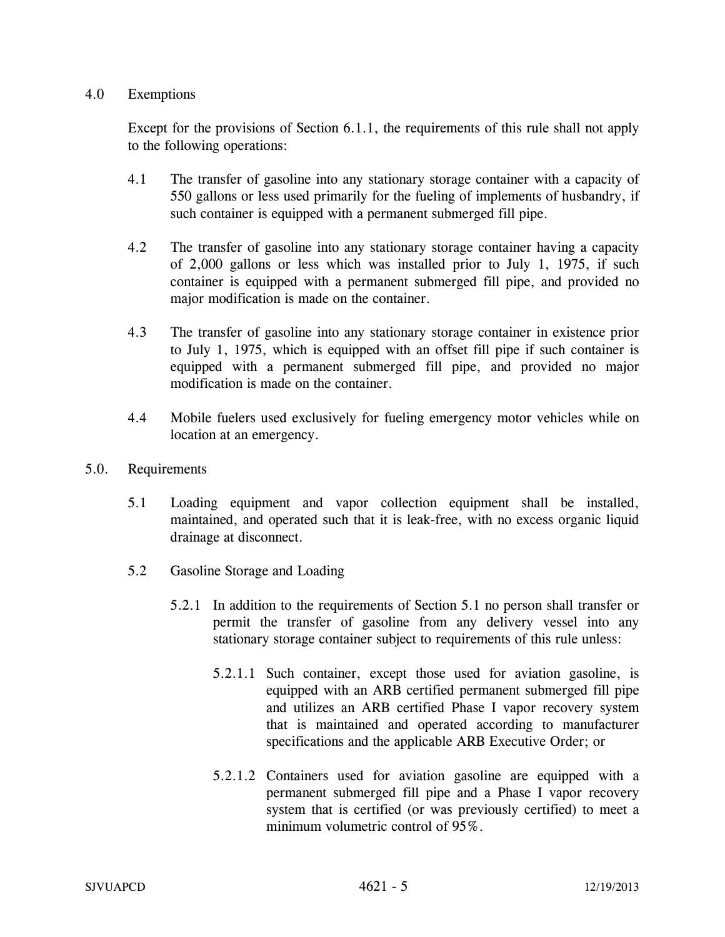### 4.0 Exemptions

Except for the provisions of Section 6.1.1, the requirements of this rule shall not apply to the following operations:

- 4.1 The transfer of gasoline into any stationary storage container with a capacity of 550 gallons or less used primarily for the fueling of implements of husbandry, if such container is equipped with a permanent submerged fill pipe.
- 4.2 The transfer of gasoline into any stationary storage container having a capacity of 2,000 gallons or less which was installed prior to July 1, 1975, if such container is equipped with a permanent submerged fill pipe, and provided no major modification is made on the container.
- 4.3 The transfer of gasoline into any stationary storage container in existence prior to July 1, 1975, which is equipped with an offset fill pipe if such container is equipped with a permanent submerged fill pipe, and provided no major modification is made on the container.
- 4.4 Mobile fuelers used exclusively for fueling emergency motor vehicles while on location at an emergency.
- 5.0. Requirements
	- 5.1 Loading equipment and vapor collection equipment shall be installed, maintained, and operated such that it is leak-free, with no excess organic liquid drainage at disconnect.
	- 5.2 Gasoline Storage and Loading
		- 5.2.1 In addition to the requirements of Section 5.1 no person shall transfer or permit the transfer of gasoline from any delivery vessel into any stationary storage container subject to requirements of this rule unless:
			- 5.2.1.1 Such container, except those used for aviation gasoline, is equipped with an ARB certified permanent submerged fill pipe and utilizes an ARB certified Phase I vapor recovery system that is maintained and operated according to manufacturer specifications and the applicable ARB Executive Order; or
			- 5.2.1.2 Containers used for aviation gasoline are equipped with a permanent submerged fill pipe and a Phase I vapor recovery system that is certified (or was previously certified) to meet a minimum volumetric control of 95%.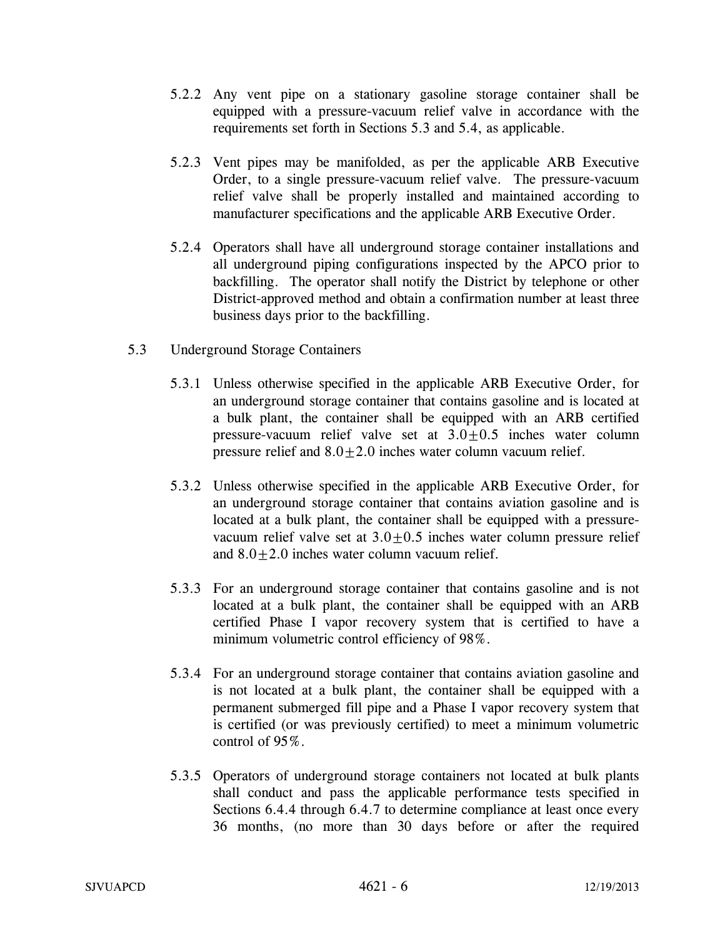- 5.2.2 Any vent pipe on a stationary gasoline storage container shall be equipped with a pressure-vacuum relief valve in accordance with the requirements set forth in Sections 5.3 and 5.4, as applicable.
- 5.2.3 Vent pipes may be manifolded, as per the applicable ARB Executive Order, to a single pressure-vacuum relief valve. The pressure-vacuum relief valve shall be properly installed and maintained according to manufacturer specifications and the applicable ARB Executive Order.
- 5.2.4 Operators shall have all underground storage container installations and all underground piping configurations inspected by the APCO prior to backfilling. The operator shall notify the District by telephone or other District-approved method and obtain a confirmation number at least three business days prior to the backfilling.
- 5.3 Underground Storage Containers
	- 5.3.1 Unless otherwise specified in the applicable ARB Executive Order, for an underground storage container that contains gasoline and is located at a bulk plant, the container shall be equipped with an ARB certified pressure-vacuum relief valve set at  $3.0 \pm 0.5$  inches water column pressure relief and  $8.0 \pm 2.0$  inches water column vacuum relief.
	- 5.3.2 Unless otherwise specified in the applicable ARB Executive Order, for an underground storage container that contains aviation gasoline and is located at a bulk plant, the container shall be equipped with a pressurevacuum relief valve set at  $3.0 \pm 0.5$  inches water column pressure relief and  $8.0 \pm 2.0$  inches water column vacuum relief.
	- 5.3.3 For an underground storage container that contains gasoline and is not located at a bulk plant, the container shall be equipped with an ARB certified Phase I vapor recovery system that is certified to have a minimum volumetric control efficiency of 98%.
	- 5.3.4 For an underground storage container that contains aviation gasoline and is not located at a bulk plant, the container shall be equipped with a permanent submerged fill pipe and a Phase I vapor recovery system that is certified (or was previously certified) to meet a minimum volumetric control of 95%.
	- 5.3.5 Operators of underground storage containers not located at bulk plants shall conduct and pass the applicable performance tests specified in Sections 6.4.4 through 6.4.7 to determine compliance at least once every 36 months, (no more than 30 days before or after the required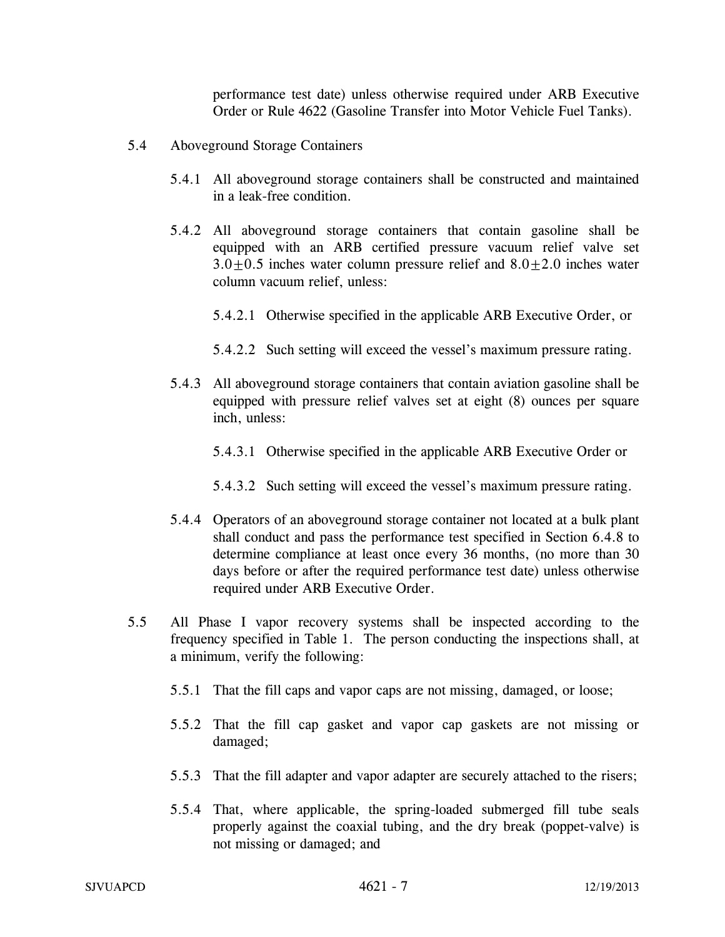performance test date) unless otherwise required under ARB Executive Order or Rule 4622 (Gasoline Transfer into Motor Vehicle Fuel Tanks).

- 5.4 Aboveground Storage Containers
	- 5.4.1 All aboveground storage containers shall be constructed and maintained in a leak-free condition.
	- 5.4.2 All aboveground storage containers that contain gasoline shall be equipped with an ARB certified pressure vacuum relief valve set  $3.0+0.5$  inches water column pressure relief and  $8.0+2.0$  inches water column vacuum relief, unless:
		- 5.4.2.1 Otherwise specified in the applicable ARB Executive Order, or
		- 5.4.2.2 Such setting will exceed the vessel's maximum pressure rating.
	- 5.4.3 All aboveground storage containers that contain aviation gasoline shall be equipped with pressure relief valves set at eight (8) ounces per square inch, unless:
		- 5.4.3.1 Otherwise specified in the applicable ARB Executive Order or
		- 5.4.3.2 Such setting will exceed the vessel's maximum pressure rating.
	- 5.4.4 Operators of an aboveground storage container not located at a bulk plant shall conduct and pass the performance test specified in Section 6.4.8 to determine compliance at least once every 36 months, (no more than 30 days before or after the required performance test date) unless otherwise required under ARB Executive Order.
- 5.5 All Phase I vapor recovery systems shall be inspected according to the frequency specified in Table 1. The person conducting the inspections shall, at a minimum, verify the following:
	- 5.5.1 That the fill caps and vapor caps are not missing, damaged, or loose;
	- 5.5.2 That the fill cap gasket and vapor cap gaskets are not missing or damaged;
	- 5.5.3 That the fill adapter and vapor adapter are securely attached to the risers;
	- 5.5.4 That, where applicable, the spring-loaded submerged fill tube seals properly against the coaxial tubing, and the dry break (poppet-valve) is not missing or damaged; and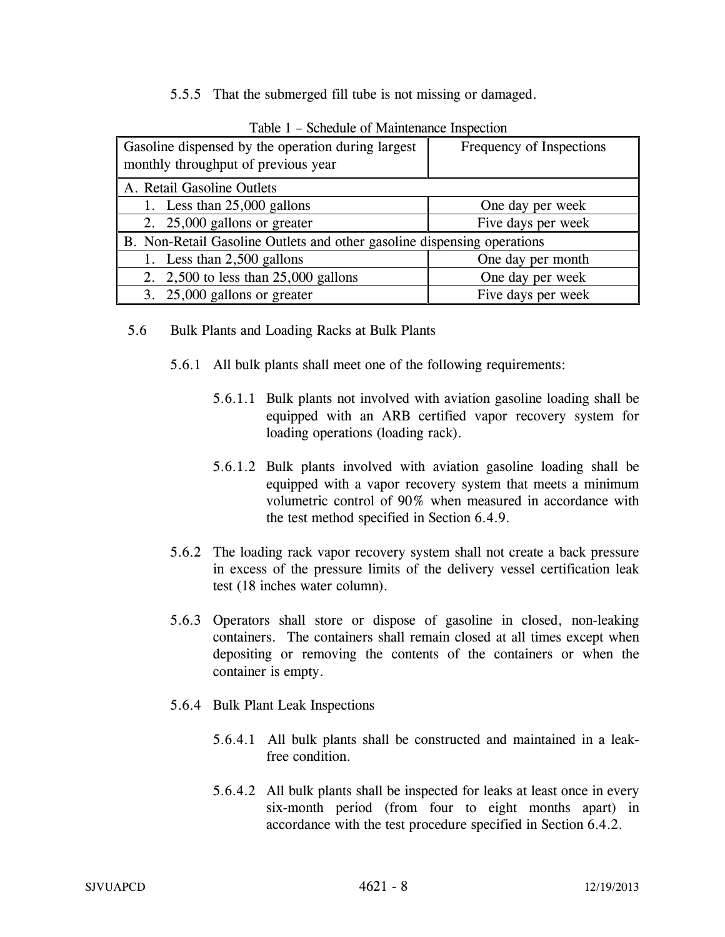5.5.5 That the submerged fill tube is not missing or damaged.

| Gasoline dispensed by the operation during largest<br>monthly throughput of previous year | Frequency of Inspections |
|-------------------------------------------------------------------------------------------|--------------------------|
| A. Retail Gasoline Outlets                                                                |                          |
| 1. Less than $25,000$ gallons                                                             | One day per week         |
| 2. 25,000 gallons or greater                                                              | Five days per week       |
| B. Non-Retail Gasoline Outlets and other gasoline dispensing operations                   |                          |
| 1. Less than 2,500 gallons                                                                | One day per month        |
| 2. $2,500$ to less than $25,000$ gallons                                                  | One day per week         |
| 3. 25,000 gallons or greater                                                              | Five days per week       |

Table 1 – Schedule of Maintenance Inspection

- 5.6 Bulk Plants and Loading Racks at Bulk Plants
	- 5.6.1 All bulk plants shall meet one of the following requirements:
		- 5.6.1.1 Bulk plants not involved with aviation gasoline loading shall be equipped with an ARB certified vapor recovery system for loading operations (loading rack).
		- 5.6.1.2 Bulk plants involved with aviation gasoline loading shall be equipped with a vapor recovery system that meets a minimum volumetric control of 90% when measured in accordance with the test method specified in Section 6.4.9.
	- 5.6.2 The loading rack vapor recovery system shall not create a back pressure in excess of the pressure limits of the delivery vessel certification leak test (18 inches water column).
	- 5.6.3 Operators shall store or dispose of gasoline in closed, non-leaking containers. The containers shall remain closed at all times except when depositing or removing the contents of the containers or when the container is empty.
	- 5.6.4 Bulk Plant Leak Inspections
		- 5.6.4.1 All bulk plants shall be constructed and maintained in a leakfree condition.
		- 5.6.4.2 All bulk plants shall be inspected for leaks at least once in every six-month period (from four to eight months apart) in accordance with the test procedure specified in Section 6.4.2.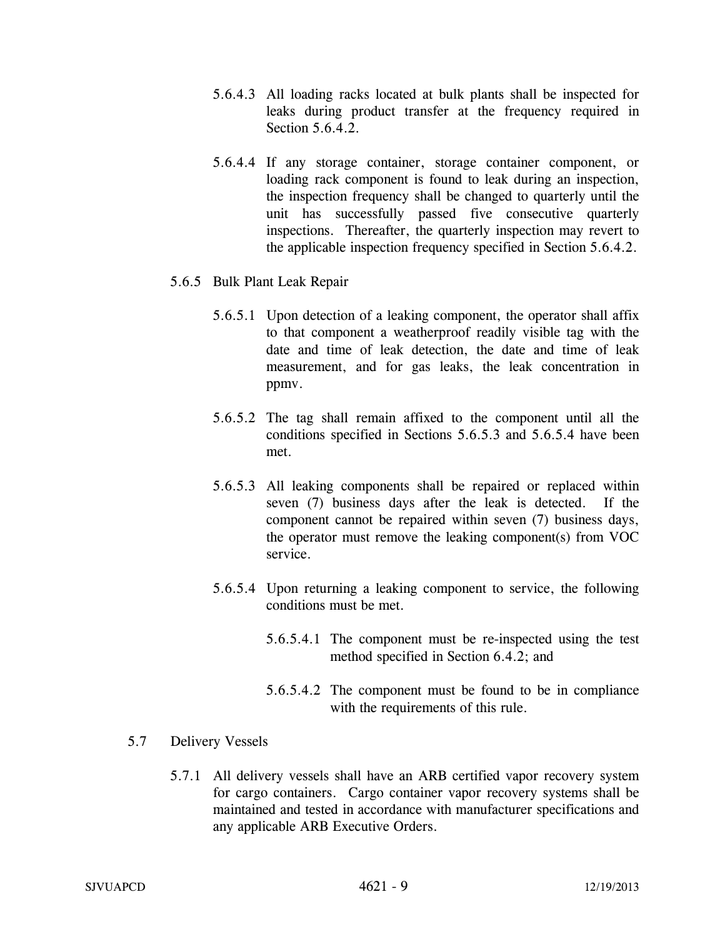- 5.6.4.3 All loading racks located at bulk plants shall be inspected for leaks during product transfer at the frequency required in Section 5.6.4.2.
- 5.6.4.4 If any storage container, storage container component, or loading rack component is found to leak during an inspection, the inspection frequency shall be changed to quarterly until the unit has successfully passed five consecutive quarterly inspections. Thereafter, the quarterly inspection may revert to the applicable inspection frequency specified in Section 5.6.4.2.
- 5.6.5 Bulk Plant Leak Repair
	- 5.6.5.1 Upon detection of a leaking component, the operator shall affix to that component a weatherproof readily visible tag with the date and time of leak detection, the date and time of leak measurement, and for gas leaks, the leak concentration in ppmv.
	- 5.6.5.2 The tag shall remain affixed to the component until all the conditions specified in Sections 5.6.5.3 and 5.6.5.4 have been met.
	- 5.6.5.3 All leaking components shall be repaired or replaced within seven (7) business days after the leak is detected. If the component cannot be repaired within seven (7) business days, the operator must remove the leaking component(s) from VOC service.
	- 5.6.5.4 Upon returning a leaking component to service, the following conditions must be met.
		- 5.6.5.4.1 The component must be re-inspected using the test method specified in Section 6.4.2; and
		- 5.6.5.4.2 The component must be found to be in compliance with the requirements of this rule.
- 5.7 Delivery Vessels
	- 5.7.1 All delivery vessels shall have an ARB certified vapor recovery system for cargo containers. Cargo container vapor recovery systems shall be maintained and tested in accordance with manufacturer specifications and any applicable ARB Executive Orders.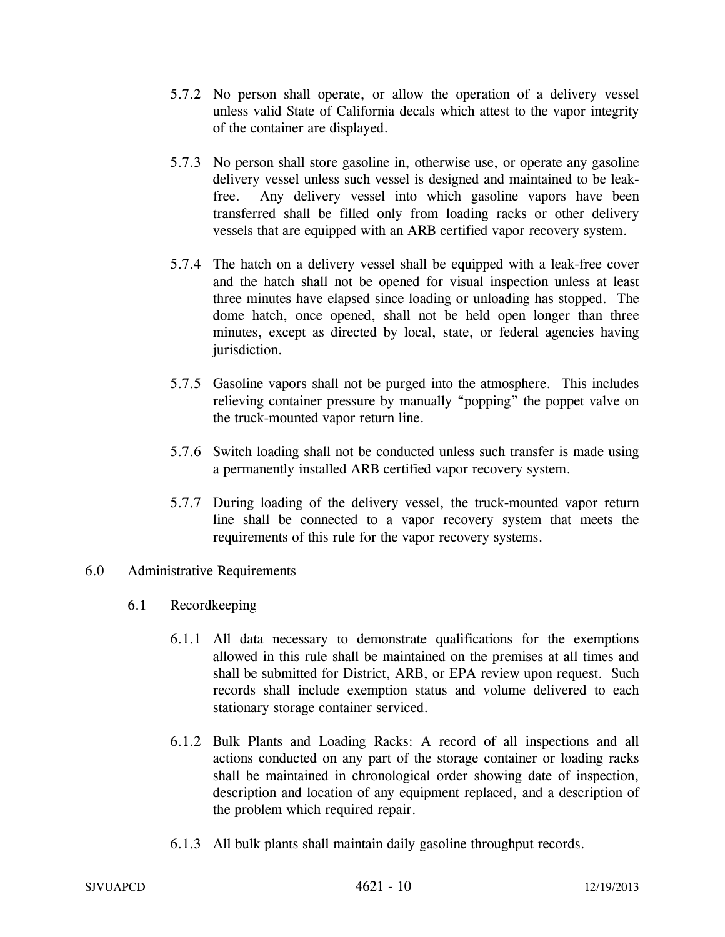- 5.7.2 No person shall operate, or allow the operation of a delivery vessel unless valid State of California decals which attest to the vapor integrity of the container are displayed.
- 5.7.3 No person shall store gasoline in, otherwise use, or operate any gasoline delivery vessel unless such vessel is designed and maintained to be leakfree. Any delivery vessel into which gasoline vapors have been transferred shall be filled only from loading racks or other delivery vessels that are equipped with an ARB certified vapor recovery system.
- 5.7.4 The hatch on a delivery vessel shall be equipped with a leak-free cover and the hatch shall not be opened for visual inspection unless at least three minutes have elapsed since loading or unloading has stopped. The dome hatch, once opened, shall not be held open longer than three minutes, except as directed by local, state, or federal agencies having jurisdiction.
- 5.7.5 Gasoline vapors shall not be purged into the atmosphere. This includes relieving container pressure by manually "popping" the poppet valve on the truck-mounted vapor return line.
- 5.7.6 Switch loading shall not be conducted unless such transfer is made using a permanently installed ARB certified vapor recovery system.
- 5.7.7 During loading of the delivery vessel, the truck-mounted vapor return line shall be connected to a vapor recovery system that meets the requirements of this rule for the vapor recovery systems.

## 6.0 Administrative Requirements

- 6.1 Recordkeeping
	- 6.1.1 All data necessary to demonstrate qualifications for the exemptions allowed in this rule shall be maintained on the premises at all times and shall be submitted for District, ARB, or EPA review upon request. Such records shall include exemption status and volume delivered to each stationary storage container serviced.
	- 6.1.2 Bulk Plants and Loading Racks: A record of all inspections and all actions conducted on any part of the storage container or loading racks shall be maintained in chronological order showing date of inspection, description and location of any equipment replaced, and a description of the problem which required repair.
	- 6.1.3 All bulk plants shall maintain daily gasoline throughput records.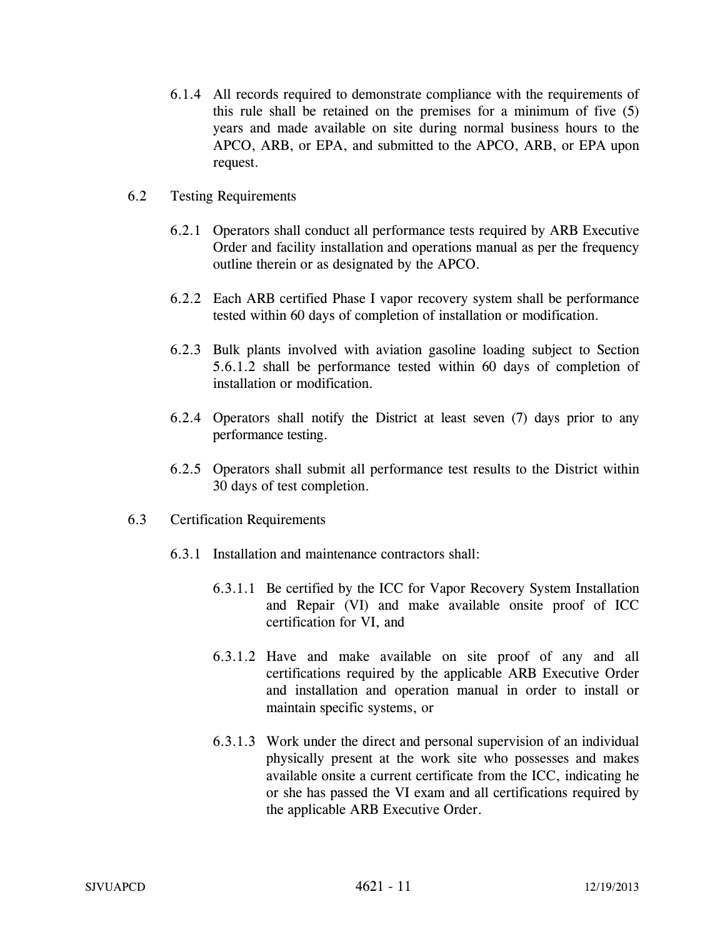- 6.1.4 All records required to demonstrate compliance with the requirements of this rule shall be retained on the premises for a minimum of five (5) years and made available on site during normal business hours to the APCO, ARB, or EPA, and submitted to the APCO, ARB, or EPA upon request.
- 6.2 Testing Requirements
	- 6.2.1 Operators shall conduct all performance tests required by ARB Executive Order and facility installation and operations manual as per the frequency outline therein or as designated by the APCO.
	- 6.2.2 Each ARB certified Phase I vapor recovery system shall be performance tested within 60 days of completion of installation or modification.
	- 6.2.3 Bulk plants involved with aviation gasoline loading subject to Section 5.6.1.2 shall be performance tested within 60 days of completion of installation or modification.
	- 6.2.4 Operators shall notify the District at least seven (7) days prior to any performance testing.
	- 6.2.5 Operators shall submit all performance test results to the District within 30 days of test completion.
- 6.3 Certification Requirements
	- 6.3.1 Installation and maintenance contractors shall:
		- 6.3.1.1 Be certified by the ICC for Vapor Recovery System Installation and Repair (VI) and make available onsite proof of ICC certification for VI, and
		- 6.3.1.2 Have and make available on site proof of any and all certifications required by the applicable ARB Executive Order and installation and operation manual in order to install or maintain specific systems, or
		- 6.3.1.3 Work under the direct and personal supervision of an individual physically present at the work site who possesses and makes available onsite a current certificate from the ICC, indicating he or she has passed the VI exam and all certifications required by the applicable ARB Executive Order.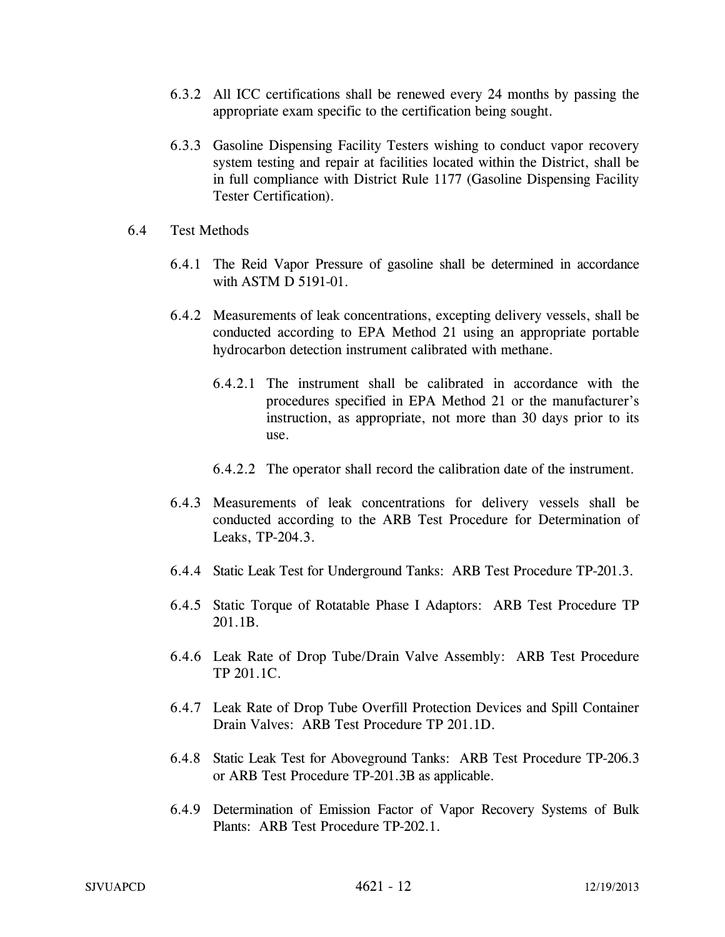- 6.3.2 All ICC certifications shall be renewed every 24 months by passing the appropriate exam specific to the certification being sought.
- 6.3.3 Gasoline Dispensing Facility Testers wishing to conduct vapor recovery system testing and repair at facilities located within the District, shall be in full compliance with District Rule 1177 (Gasoline Dispensing Facility Tester Certification).
- 6.4 Test Methods
	- 6.4.1 The Reid Vapor Pressure of gasoline shall be determined in accordance with ASTM D 5191-01.
	- 6.4.2 Measurements of leak concentrations, excepting delivery vessels, shall be conducted according to EPA Method 21 using an appropriate portable hydrocarbon detection instrument calibrated with methane.
		- 6.4.2.1 The instrument shall be calibrated in accordance with the procedures specified in EPA Method 21 or the manufacturer's instruction, as appropriate, not more than 30 days prior to its use.
		- 6.4.2.2 The operator shall record the calibration date of the instrument.
	- 6.4.3 Measurements of leak concentrations for delivery vessels shall be conducted according to the ARB Test Procedure for Determination of Leaks, TP-204.3.
	- 6.4.4 Static Leak Test for Underground Tanks: ARB Test Procedure TP-201.3.
	- 6.4.5 Static Torque of Rotatable Phase I Adaptors: ARB Test Procedure TP 201.1B.
	- 6.4.6 Leak Rate of Drop Tube/Drain Valve Assembly: ARB Test Procedure TP 201.1C.
	- 6.4.7 Leak Rate of Drop Tube Overfill Protection Devices and Spill Container Drain Valves: ARB Test Procedure TP 201.1D.
	- 6.4.8 Static Leak Test for Aboveground Tanks: ARB Test Procedure TP-206.3 or ARB Test Procedure TP-201.3B as applicable.
	- 6.4.9 Determination of Emission Factor of Vapor Recovery Systems of Bulk Plants: ARB Test Procedure TP-202.1.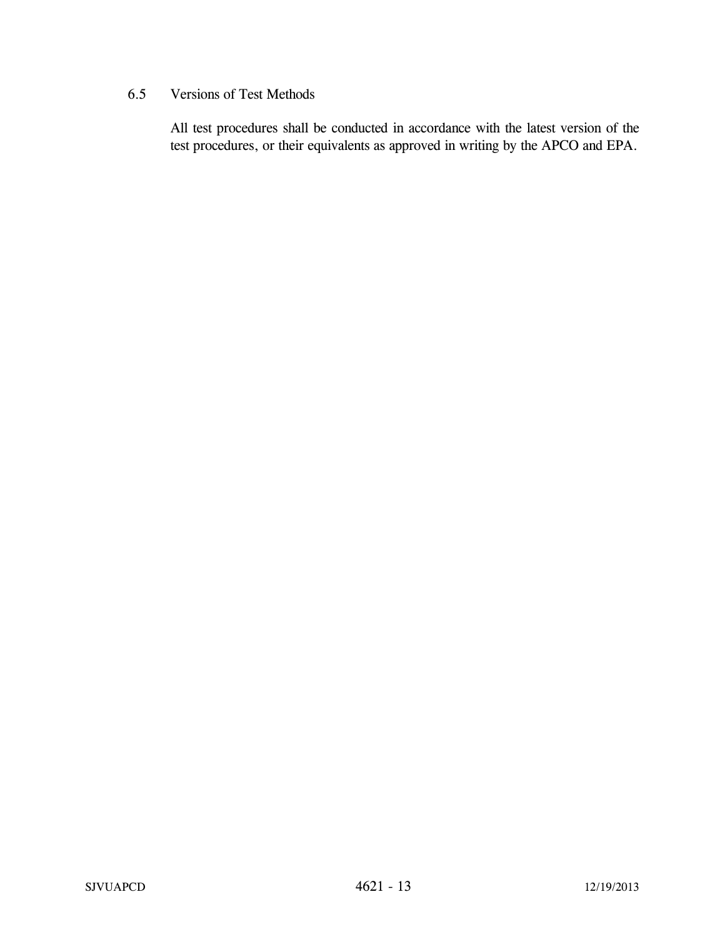# 6.5 Versions of Test Methods

All test procedures shall be conducted in accordance with the latest version of the test procedures, or their equivalents as approved in writing by the APCO and EPA.